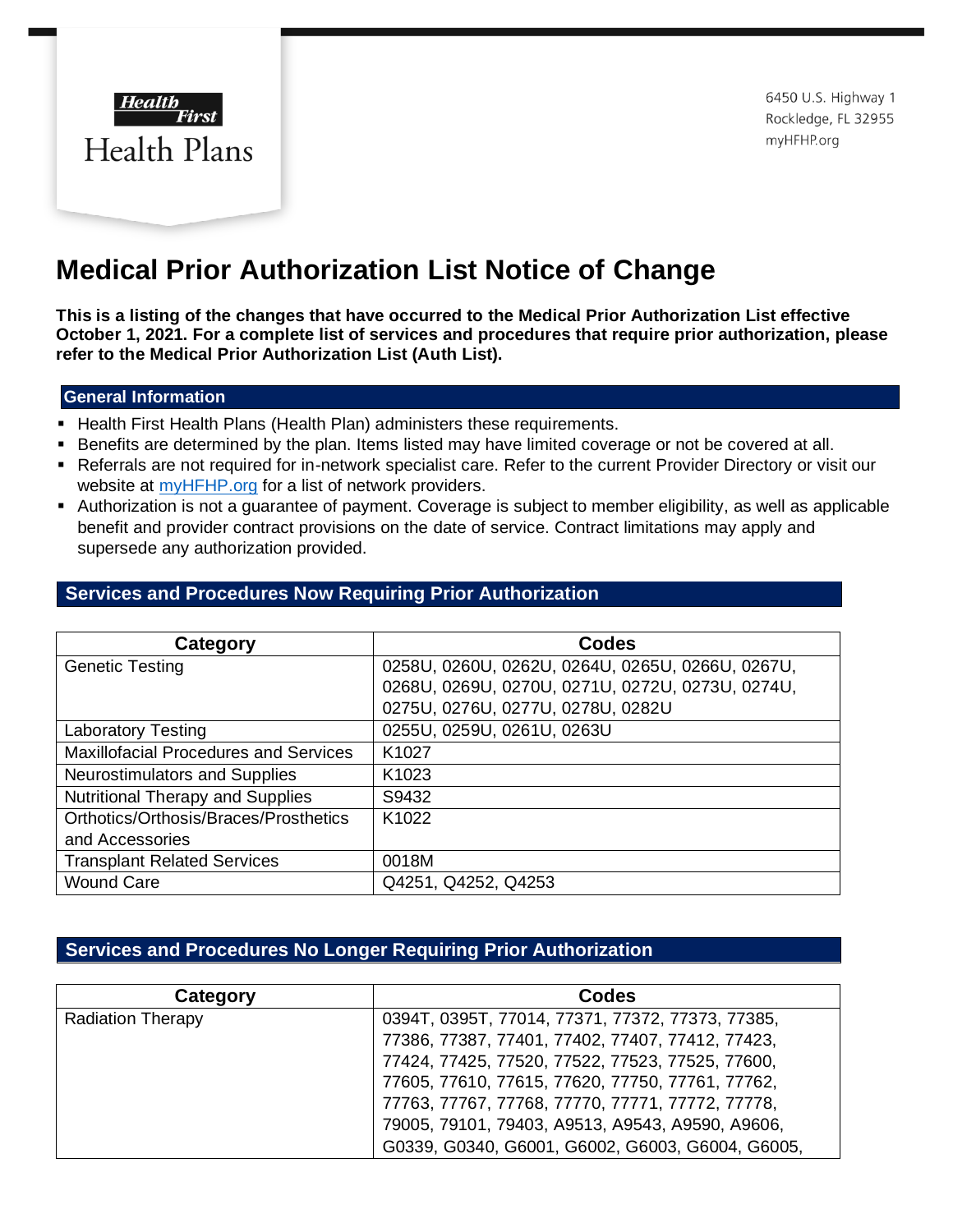

6450 U.S. Highway 1 Rockledge, FL 32955 myHFHP.org

## **Medical Prior Authorization List Notice of Change**

**This is a listing of the changes that have occurred to the Medical Prior Authorization List effective October 1, 2021. For a complete list of services and procedures that require prior authorization, please refer to the Medical Prior Authorization List (Auth List).** 

## **General Information**

- **E** Health First Health Plans (Health Plan) administers these requirements.
- **EXECTER 15 Benefits are determined by the plan. Items listed may have limited coverage or not be covered at all.**
- Referrals are not required for in-network specialist care. Refer to the current Provider Directory or visit our website at **myHFHP**.org [f](http://www.myhfhp.org/)or a list of network providers.
- Authorization is not a guarantee of payment. Coverage is subject to member eligibility, as well as applicable benefit and provider contract provisions on the date of service. Contract limitations may apply and supersede any authorization provided.

## **Services and Procedures Now Requiring Prior Authorization**

| Category                                     | <b>Codes</b>                                     |
|----------------------------------------------|--------------------------------------------------|
| <b>Genetic Testing</b>                       | 0258U, 0260U, 0262U, 0264U, 0265U, 0266U, 0267U, |
|                                              | 0268U, 0269U, 0270U, 0271U, 0272U, 0273U, 0274U, |
|                                              | 0275U, 0276U, 0277U, 0278U, 0282U                |
| <b>Laboratory Testing</b>                    | 0255U, 0259U, 0261U, 0263U                       |
| <b>Maxillofacial Procedures and Services</b> | K1027                                            |
| Neurostimulators and Supplies                | K <sub>1023</sub>                                |
| <b>Nutritional Therapy and Supplies</b>      | S9432                                            |
| Orthotics/Orthosis/Braces/Prosthetics        | K <sub>1022</sub>                                |
| and Accessories                              |                                                  |
| <b>Transplant Related Services</b>           | 0018M                                            |
| <b>Wound Care</b>                            | Q4251, Q4252, Q4253                              |

## **Services and Procedures No Longer Requiring Prior Authorization**

| Category                 | Codes                                            |
|--------------------------|--------------------------------------------------|
| <b>Radiation Therapy</b> | 0394T, 0395T, 77014, 77371, 77372, 77373, 77385, |
|                          | 77386, 77387, 77401, 77402, 77407, 77412, 77423, |
|                          | 77424, 77425, 77520, 77522, 77523, 77525, 77600, |
|                          | 77605, 77610, 77615, 77620, 77750, 77761, 77762, |
|                          | 77763, 77767, 77768, 77770, 77771, 77772, 77778, |
|                          | 79005, 79101, 79403, A9513, A9543, A9590, A9606, |
|                          | G0339, G0340, G6001, G6002, G6003, G6004, G6005, |